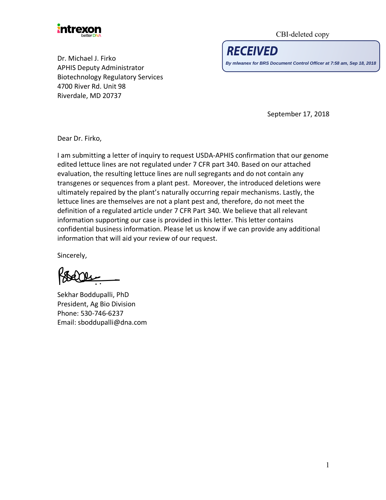

CBI-deleted copy

**RECEIVED** 

**By mlwanex for BRS Document Control Officer at 7:58 am, Sep 18, 2018**

Dr. Michael J. Firko APHIS Deputy Administrator Biotechnology Regulatory Services 4700 River Rd. Unit 98 Riverdale, MD 20737

September 17, 2018

Dear Dr. Firko,

I am submitting a letter of inquiry to request USDA-APHIS confirmation that our genome edited lettuce lines are not regulated under 7 CFR part 340. Based on our attached evaluation, the resulting lettuce lines are null segregants and do not contain any transgenes or sequences from a plant pest. Moreover, the introduced deletions were ultimately repaired by the plant's naturally occurring repair mechanisms. Lastly, the lettuce lines are themselves are not a plant pest and, therefore, do not meet the definition of a regulated article under 7 CFR Part 340. We believe that all relevant information supporting our case is provided in this letter. This letter contains confidential business information. Please let us know if we can provide any additional information that will aid your review of our request.

Sincerely,

Ole

Sekhar Boddupalli, PhD President, Ag Bio Division Phone: 530-746-6237 Email: sboddupalli@dna.com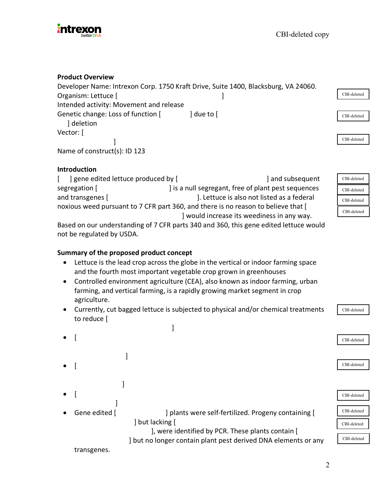

#### **Product Overview**

Developer Name: Intrexon Corp. 1750 Kraft Drive, Suite 1400, Blacksburg, VA 24060. Organism: Lettuce [ ] Intended activity: Movement and release Genetic change: Loss of function [ ] due to [ ] deletion Vector: [ ] Name of construct(s): ID 123

#### **Introduction**

[ ] gene edited lettuce produced by [  $\qquad \qquad$  ] and subsequent segregation [ ] is a null segregant, free of plant pest sequences and transgenes [  $\qquad \qquad$  ]. Lettuce is also not listed as a federal noxious weed pursuant to 7 CFR part 360, and there is no reason to believe that [ ] would increase its weediness in any way.

CBI-deleted CBI-deleted CBI-deleted CBI-deleted

CBI-deleted

CBI-deleted

CBI-deleted

CBI-deleted

Based on our understanding of 7 CFR parts 340 and 360, this gene edited lettuce would not be regulated by USDA.

### **Summary of the proposed product concept**

- Lettuce is the lead crop across the globe in the vertical or indoor farming space and the fourth most important vegetable crop grown in greenhouses
- Controlled environment agriculture (CEA), also known as indoor farming, urban farming, and vertical farming, is a rapidly growing market segment in crop agriculture.
- Currently, cut bagged lettuce is subjected to physical and/or chemical treatments to reduce [

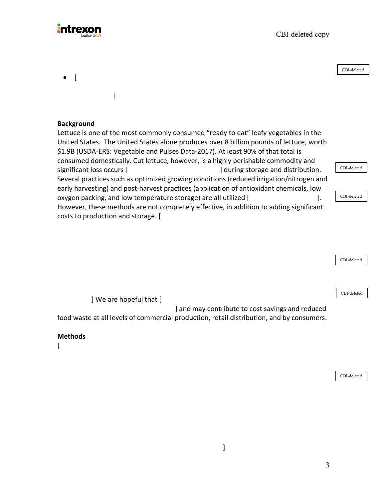CBI-deleted copy



• [ ] **Background** Lettuce is one of the most commonly consumed "ready to eat" leafy vegetables in the United States. The United States alone produces over 8 billion pounds of lettuce, worth \$1.9B (USDA-ERS: Vegetable and Pulses Data-2017). At least 90% of that total is consumed domestically. Cut lettuce, however, is a highly perishable commodity and significant loss occurs [  $\qquad \qquad$  ] during storage and distribution. Several practices such as optimized growing conditions (reduced irrigation/nitrogen and early harvesting) and post-harvest practices (application of antioxidant chemicals, low oxygen packing, and low temperature storage) are all utilized [ ]. However, these methods are not completely effective, in addition to adding significant costs to production and storage. [ CBI-deleted CBI-deleted CBI-deleted

| CBI-deleted                                                                               |  |
|-------------------------------------------------------------------------------------------|--|
|                                                                                           |  |
|                                                                                           |  |
|                                                                                           |  |
| CBI-deleted                                                                               |  |
| We are hopeful that [                                                                     |  |
| and may contribute to cost savings and reduced                                            |  |
| food waste at all levels of commercial production, retail distribution, and by consumers. |  |

#### **Methods**

 $\lceil$ 

CBI-deleted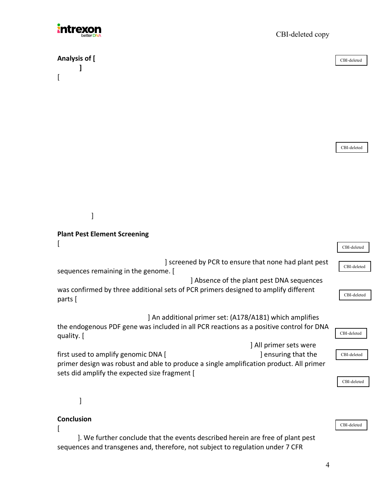

**Analysis of [ ]**

 $\lceil$ 

CBI-deleted copy

CBI-deleted

CBI-deleted

]

# **Plant Pest Element Screening**

|                                                                                                                                                                  | CBI-deleted |
|------------------------------------------------------------------------------------------------------------------------------------------------------------------|-------------|
| screened by PCR to ensure that none had plant pest<br>sequences remaining in the genome. [                                                                       | CBI-deleted |
| ] Absence of the plant pest DNA sequences                                                                                                                        |             |
| was confirmed by three additional sets of PCR primers designed to amplify different                                                                              | CBI-deleted |
| parts [                                                                                                                                                          |             |
| ] An additional primer set: (A178/A181) which amplifies<br>the endogenous PDF gene was included in all PCR reactions as a positive control for DNA<br>quality. [ | CBI-deleted |
| All primer sets were                                                                                                                                             |             |
| first used to amplify genomic DNA [<br>ensuring that the                                                                                                         | CBI-deleted |

primer design was robust and able to produce a single amplification product. All primer sets did amplify the expected size fragment [

]

## **Conclusion**

 $\lceil$ 

 ]. We further conclude that the events described herein are free of plant pest sequences and transgenes and, therefore, not subject to regulation under 7 CFR

CBI-deleted

CBI-deleted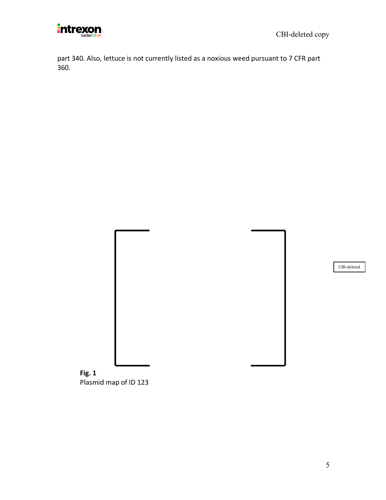

part 340. Also, lettuce is not currently listed as a noxious weed pursuant to 7 CFR part 360.

CBI-deleted

**Fig. 1**  Plasmid map of ID 123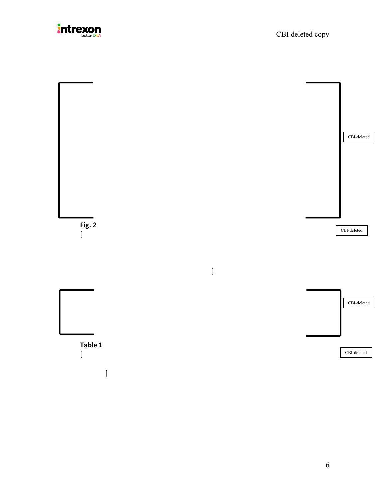

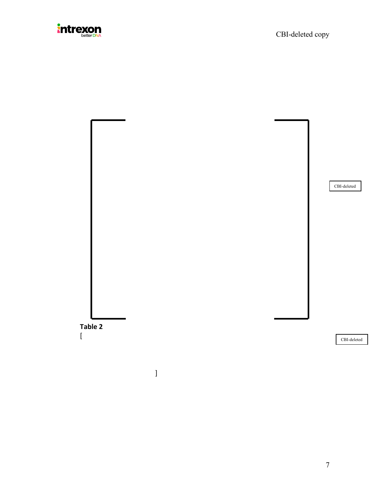

CBI-deleted



CBI-deleted

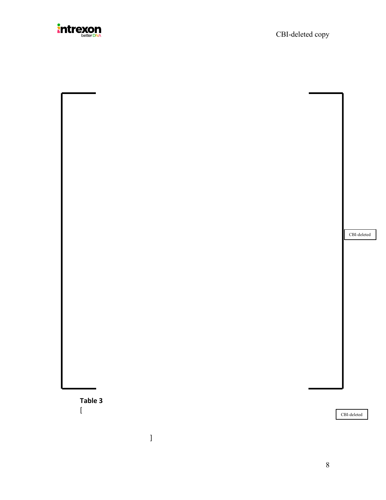

|  |  | $\operatorname{CBI-deleted}$ |
|--|--|------------------------------|
|  |  |                              |
|  |  |                              |
|  |  |                              |
|  |  |                              |
|  |  |                              |
|  |  |                              |
|  |  |                              |
|  |  |                              |
|  |  |                              |
|  |  |                              |
|  |  |                              |
|  |  |                              |
|  |  |                              |
|  |  |                              |
|  |  |                              |
|  |  |                              |
|  |  |                              |
|  |  |                              |
|  |  |                              |
|  |  |                              |
|  |  |                              |
|  |  |                              |
|  |  |                              |

CBI-deleted

**Table 3**

 $\lceil$